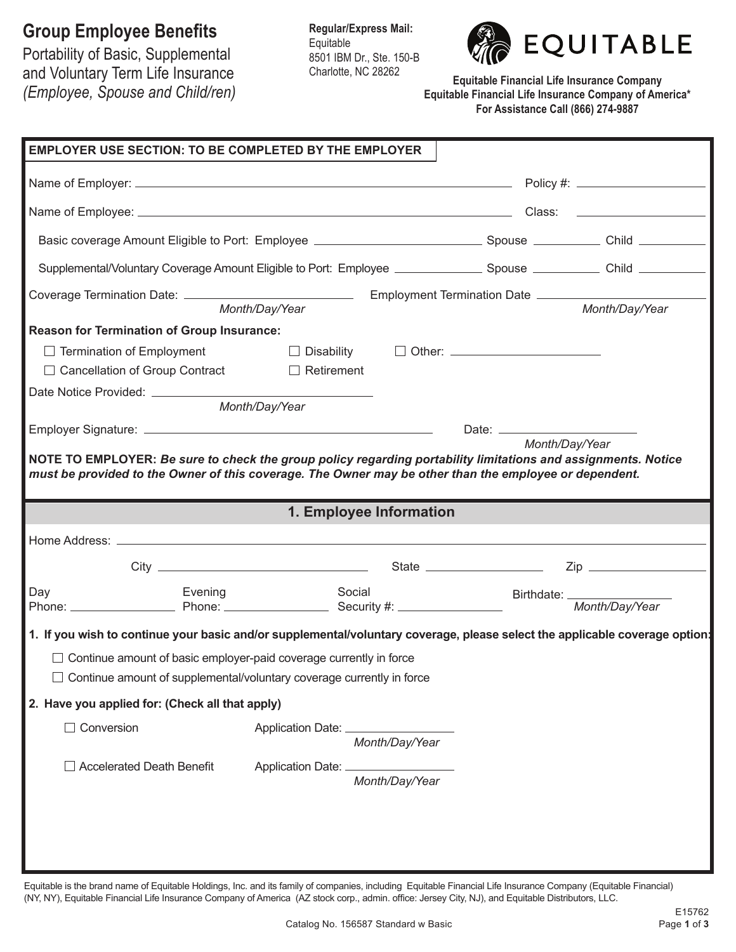## **Group Employee Benefits**

Portability of Basic, Supplemental and Voluntary Term Life Insurance *(Employee, Spouse and Child/ren)* **Regular/Express Mail:** Equitable 8501 IBM Dr., Ste. 150-B Charlotte, NC 28262



**Equitable Financial Life Insurance Company Equitable Financial Life Insurance Company of America\* For Assistance Call (866) 274-9887**

| <b>EMPLOYER USE SECTION: TO BE COMPLETED BY THE EMPLOYER</b>                                                                                                                                                            |                                        |                |                |
|-------------------------------------------------------------------------------------------------------------------------------------------------------------------------------------------------------------------------|----------------------------------------|----------------|----------------|
|                                                                                                                                                                                                                         |                                        |                |                |
|                                                                                                                                                                                                                         |                                        |                |                |
| Basic coverage Amount Eligible to Port: Employee ________________________________ Spouse ___________ Child __________                                                                                                   |                                        |                |                |
| Supplemental/Voluntary Coverage Amount Eligible to Port: Employee _______________ Spouse ___________ Child _________                                                                                                    |                                        |                |                |
|                                                                                                                                                                                                                         | Month/Day/Year                         |                | Month/Day/Year |
| <b>Reason for Termination of Group Insurance:</b>                                                                                                                                                                       |                                        |                |                |
| $\Box$ Termination of Employment                                                                                                                                                                                        | $\Box$ Disability $\Box$ Other: $\Box$ |                |                |
| □ Cancellation of Group Contract                                                                                                                                                                                        | $\Box$ Retirement                      |                |                |
|                                                                                                                                                                                                                         |                                        |                |                |
|                                                                                                                                                                                                                         | Month/Day/Year                         |                |                |
|                                                                                                                                                                                                                         |                                        |                | Month/Day/Year |
| NOTE TO EMPLOYER: Be sure to check the group policy regarding portability limitations and assignments. Notice<br>must be provided to the Owner of this coverage. The Owner may be other than the employee or dependent. | 1. Employee Information                |                |                |
|                                                                                                                                                                                                                         |                                        |                |                |
|                                                                                                                                                                                                                         |                                        |                |                |
|                                                                                                                                                                                                                         |                                        |                |                |
| Day<br>Evening<br>Day Evening Social Social Birthdate: Evening Social Birthdate: Evening Social Birthdate: Evening Security #: Letting Birthdate: Letting Month/Day/Year                                                | Social                                 |                |                |
| 1. If you wish to continue your basic and/or supplemental/voluntary coverage, please select the applicable coverage option:                                                                                             |                                        |                |                |
| $\Box$ Continue amount of basic employer-paid coverage currently in force<br>$\Box$ Continue amount of supplemental/voluntary coverage currently in force                                                               |                                        |                |                |
| 2. Have you applied for: (Check all that apply)                                                                                                                                                                         |                                        |                |                |
| Conversion                                                                                                                                                                                                              |                                        | Month/Day/Year |                |
| <b>Accelerated Death Benefit</b>                                                                                                                                                                                        | Application Date: _______________      | Month/Day/Year |                |
|                                                                                                                                                                                                                         |                                        |                |                |
|                                                                                                                                                                                                                         |                                        |                |                |
|                                                                                                                                                                                                                         |                                        |                |                |

Equitable is the brand name of Equitable Holdings, Inc. and its family of companies, including Equitable Financial Life Insurance Company (Equitable Financial) (NY, NY), Equitable Financial Life Insurance Company of America (AZ stock corp., admin. office: Jersey City, NJ), and Equitable Distributors, LLC.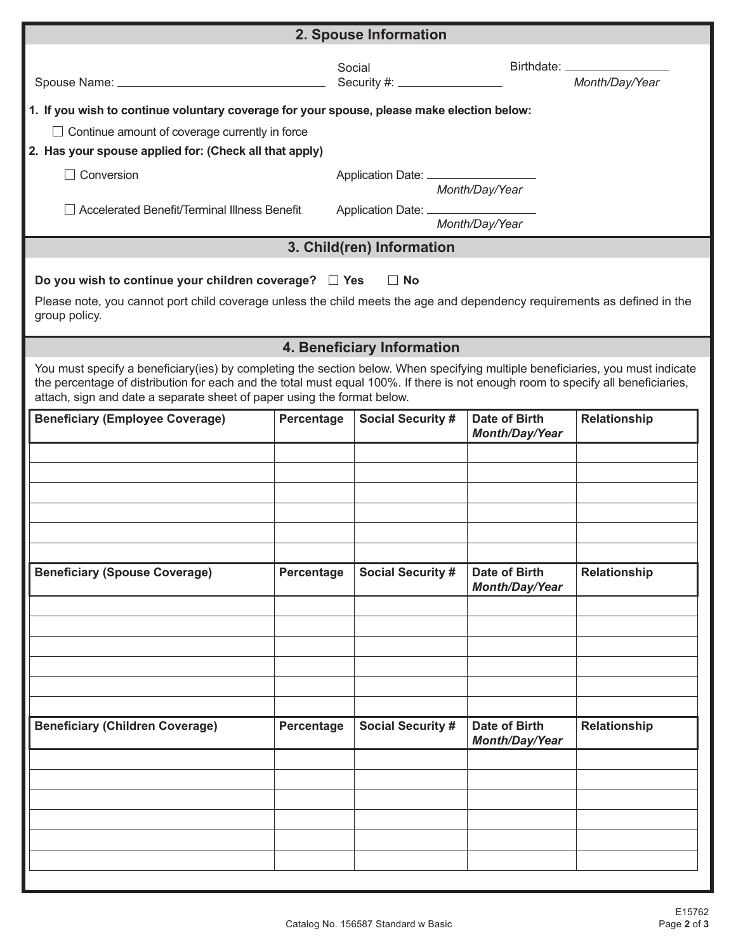| 2. Spouse Information                                                                                                                                                                                                                                                                                                                         |            |                                   |                                               |                |  |
|-----------------------------------------------------------------------------------------------------------------------------------------------------------------------------------------------------------------------------------------------------------------------------------------------------------------------------------------------|------------|-----------------------------------|-----------------------------------------------|----------------|--|
|                                                                                                                                                                                                                                                                                                                                               |            | Social                            |                                               | Month/Day/Year |  |
| 1. If you wish to continue voluntary coverage for your spouse, please make election below:                                                                                                                                                                                                                                                    |            |                                   |                                               |                |  |
| $\Box$ Continue amount of coverage currently in force                                                                                                                                                                                                                                                                                         |            |                                   |                                               |                |  |
| 2. Has your spouse applied for: (Check all that apply)                                                                                                                                                                                                                                                                                        |            |                                   |                                               |                |  |
| Conversion                                                                                                                                                                                                                                                                                                                                    |            |                                   |                                               |                |  |
|                                                                                                                                                                                                                                                                                                                                               |            |                                   | Month/Day/Year                                |                |  |
| Accelerated Benefit/Terminal Illness Benefit                                                                                                                                                                                                                                                                                                  |            | Application Date: _______________ | Month/Day/Year                                |                |  |
|                                                                                                                                                                                                                                                                                                                                               |            | 3. Child(ren) Information         |                                               |                |  |
| Do you wish to continue your children coverage? $\square$ Yes<br>Please note, you cannot port child coverage unless the child meets the age and dependency requirements as defined in the<br>group policy.                                                                                                                                    |            | ∣ ∣No                             |                                               |                |  |
|                                                                                                                                                                                                                                                                                                                                               |            | 4. Beneficiary Information        |                                               |                |  |
| You must specify a beneficiary(ies) by completing the section below. When specifying multiple beneficiaries, you must indicate<br>the percentage of distribution for each and the total must equal 100%. If there is not enough room to specify all beneficiaries,<br>attach, sign and date a separate sheet of paper using the format below. |            |                                   |                                               |                |  |
| <b>Beneficiary (Employee Coverage)</b>                                                                                                                                                                                                                                                                                                        | Percentage | <b>Social Security #</b>          | <b>Date of Birth</b><br><b>Month/Day/Year</b> | Relationship   |  |
|                                                                                                                                                                                                                                                                                                                                               |            |                                   |                                               |                |  |
|                                                                                                                                                                                                                                                                                                                                               |            |                                   |                                               |                |  |
|                                                                                                                                                                                                                                                                                                                                               |            |                                   |                                               |                |  |
|                                                                                                                                                                                                                                                                                                                                               |            |                                   |                                               |                |  |
|                                                                                                                                                                                                                                                                                                                                               |            |                                   |                                               |                |  |
| <b>Beneficiary (Spouse Coverage)</b>                                                                                                                                                                                                                                                                                                          | Percentage | <b>Social Security #</b>          | <b>Date of Birth</b><br><b>Month/Day/Year</b> | Relationship   |  |
|                                                                                                                                                                                                                                                                                                                                               |            |                                   |                                               |                |  |
|                                                                                                                                                                                                                                                                                                                                               |            |                                   |                                               |                |  |
|                                                                                                                                                                                                                                                                                                                                               |            |                                   |                                               |                |  |
|                                                                                                                                                                                                                                                                                                                                               |            |                                   |                                               |                |  |
|                                                                                                                                                                                                                                                                                                                                               |            |                                   |                                               |                |  |
| <b>Beneficiary (Children Coverage)</b>                                                                                                                                                                                                                                                                                                        | Percentage | <b>Social Security #</b>          | Date of Birth<br><b>Month/Day/Year</b>        | Relationship   |  |
|                                                                                                                                                                                                                                                                                                                                               |            |                                   |                                               |                |  |
|                                                                                                                                                                                                                                                                                                                                               |            |                                   |                                               |                |  |
|                                                                                                                                                                                                                                                                                                                                               |            |                                   |                                               |                |  |
|                                                                                                                                                                                                                                                                                                                                               |            |                                   |                                               |                |  |
|                                                                                                                                                                                                                                                                                                                                               |            |                                   |                                               |                |  |
|                                                                                                                                                                                                                                                                                                                                               |            |                                   |                                               |                |  |